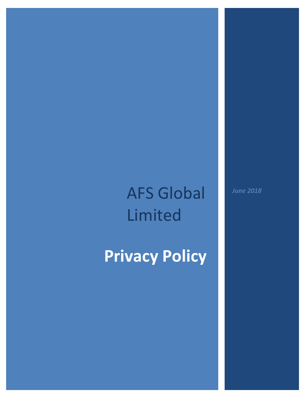# AFS Global Limited

# **Privacy Policy**

*June 2018*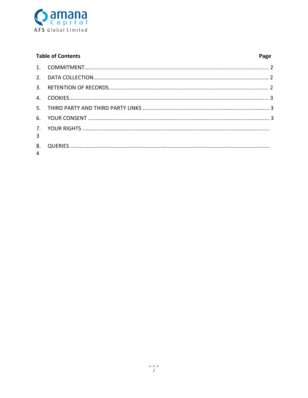

| <b>Table of Contents</b> |  | Page |
|--------------------------|--|------|
|                          |  |      |
|                          |  |      |
|                          |  |      |
|                          |  |      |
|                          |  |      |
|                          |  |      |
| $\overline{3}$           |  |      |
| 8.<br>$\overline{4}$     |  |      |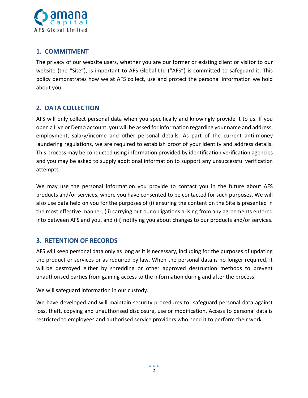

### **1. COMMITMENT**

The privacy of our website users, whether you are our former or existing client or visitor to our website (the "Site"), is important to AFS Global Ltd ("AFS") is committed to safeguard it. This policy demonstrates how we at AFS collect, use and protect the personal information we hold about you.

# **2. DATA COLLECTION**

AFS will only collect personal data when you specifically and knowingly provide it to us. If you open a Live or Demo account, you will be asked for information regarding your name and address, employment, salary/income and other personal details. As part of the current anti-money laundering regulations, we are required to establish proof of your identity and address details. This process may be conducted using information provided by identification verification agencies and you may be asked to supply additional information to support any unsuccessful verification attempts.

We may use the personal information you provide to contact you in the future about AFS products and/or services, where you have consented to be contacted for such purposes. We will also use data held on you for the purposes of (i) ensuring the content on the Site is presented in the most effective manner, (ii) carrying out our obligations arising from any agreements entered into between AFS and you, and (iii) notifying you about changes to our products and/or services.

### **3. RETENTION OF RECORDS**

AFS will keep personal data only as long as it is necessary, including for the purposes of updating the product or services or as required by law. When the personal data is no longer required, it will be destroyed either by shredding or other approved destruction methods to prevent unauthorised parties from gaining access to the information during and after the process.

We will safeguard information in our custody.

We have developed and will maintain security procedures to safeguard personal data against loss, theft, copying and unauthorised disclosure, use or modification. Access to personal data is restricted to employees and authorised service providers who need it to perform their work.